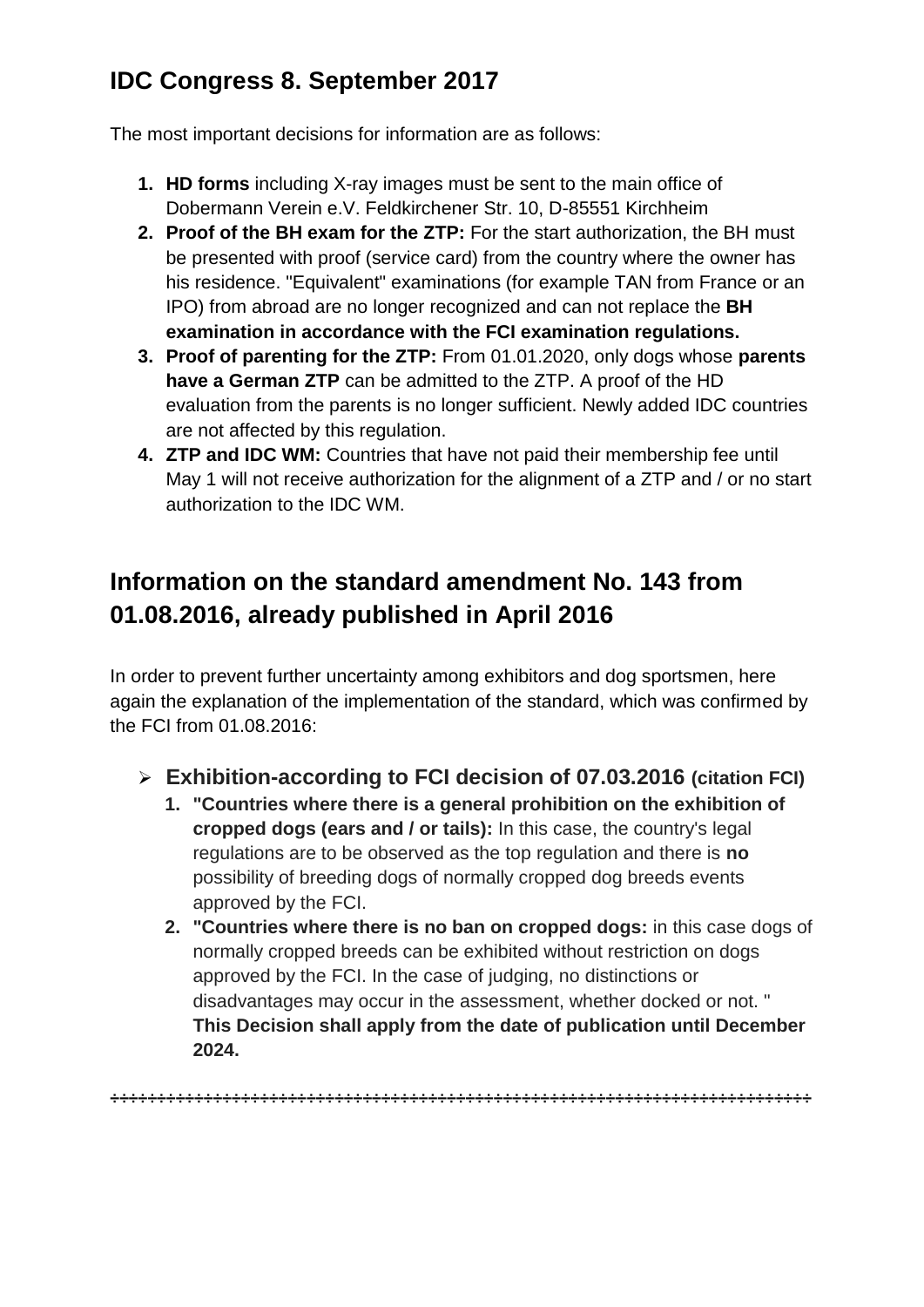# **IDC Congress 8. September 2017**

The most important decisions for information are as follows:

- **1. HD forms** including X-ray images must be sent to the main office of Dobermann Verein e.V. Feldkirchener Str. 10, D-85551 Kirchheim
- **2. Proof of the BH exam for the ZTP:** For the start authorization, the BH must be presented with proof (service card) from the country where the owner has his residence. "Equivalent" examinations (for example TAN from France or an IPO) from abroad are no longer recognized and can not replace the **BH examination in accordance with the FCI examination regulations.**
- **3. Proof of parenting for the ZTP:** From 01.01.2020, only dogs whose **parents have a German ZTP** can be admitted to the ZTP. A proof of the HD evaluation from the parents is no longer sufficient. Newly added IDC countries are not affected by this regulation.
- **4. ZTP and IDC WM:** Countries that have not paid their membership fee until May 1 will not receive authorization for the alignment of a ZTP and / or no start authorization to the IDC WM.

# **Information on the standard amendment No. 143 from 01.08.2016, already published in April 2016**

In order to prevent further uncertainty among exhibitors and dog sportsmen, here again the explanation of the implementation of the standard, which was confirmed by the FCI from 01.08.2016:

- ➢ **Exhibition-according to FCI decision of 07.03.2016 (citation FCI)**
	- **1. "Countries where there is a general prohibition on the exhibition of cropped dogs (ears and / or tails):** In this case, the country's legal regulations are to be observed as the top regulation and there is **no** possibility of breeding dogs of normally cropped dog breeds events approved by the FCI.
	- **2. "Countries where there is no ban on cropped dogs:** in this case dogs of normally cropped breeds can be exhibited without restriction on dogs approved by the FCI. In the case of judging, no distinctions or disadvantages may occur in the assessment, whether docked or not. " **This Decision shall apply from the date of publication until December 2024.**

**÷÷÷÷÷÷÷÷÷÷÷÷÷÷÷÷÷÷÷÷÷÷÷÷÷÷÷÷÷÷÷÷÷÷÷÷÷÷÷÷÷÷÷÷÷÷÷÷÷÷÷÷÷÷÷÷÷÷÷÷÷÷÷÷÷÷÷÷÷÷÷÷÷÷÷**